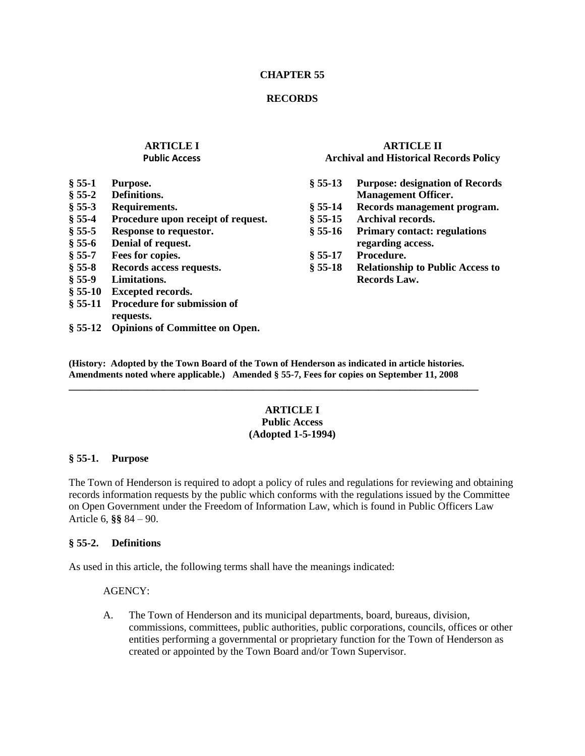#### **CHAPTER 55**

### **RECORDS**

#### **ARTICLE I Public Access**

## **ARTICLE II Archival and Historical Records Policy**

**§ 55-13 Purpose: designation of Records Management Officer. § 55-14 Records management program. § 55-15 Archival records. § 55-16 Primary contact: regulations regarding access. § 55-17 Procedure. § 55-18 Relationship to Public Access to Records Law.**

- **§ 55-1 Purpose.**
- **§ 55-2 Definitions.**
- **§ 55-3 Requirements.**
- **§ 55-4 Procedure upon receipt of request.**
- **§ 55-5 Response to requestor.**
- **§ 55-6 Denial of request.**
- **§ 55-7 Fees for copies.**
- **§ 55-8 Records access requests.**
- **§ 55-9 Limitations.**
- **§ 55-10 Excepted records.**
- **§ 55-11 Procedure for submission of requests.**
- **§ 55-12 Opinions of Committee on Open.**

**(History: Adopted by the Town Board of the Town of Henderson as indicated in article histories. Amendments noted where applicable.) Amended § 55-7, Fees for copies on September 11, 2008**

**\_\_\_\_\_\_\_\_\_\_\_\_\_\_\_\_\_\_\_\_\_\_\_\_\_\_\_\_\_\_\_\_\_\_\_\_\_\_\_\_\_\_\_\_\_\_\_\_\_\_\_\_\_\_\_\_\_\_\_\_\_\_\_\_\_\_\_\_\_\_\_\_\_\_\_\_\_\_**

## **ARTICLE I Public Access (Adopted 1-5-1994)**

#### **§ 55-1. Purpose**

The Town of Henderson is required to adopt a policy of rules and regulations for reviewing and obtaining records information requests by the public which conforms with the regulations issued by the Committee on Open Government under the Freedom of Information Law, which is found in Public Officers Law Article 6, **§§** 84 – 90.

## **§ 55-2. Definitions**

As used in this article, the following terms shall have the meanings indicated:

## AGENCY:

A. The Town of Henderson and its municipal departments, board, bureaus, division, commissions, committees, public authorities, public corporations, councils, offices or other entities performing a governmental or proprietary function for the Town of Henderson as created or appointed by the Town Board and/or Town Supervisor.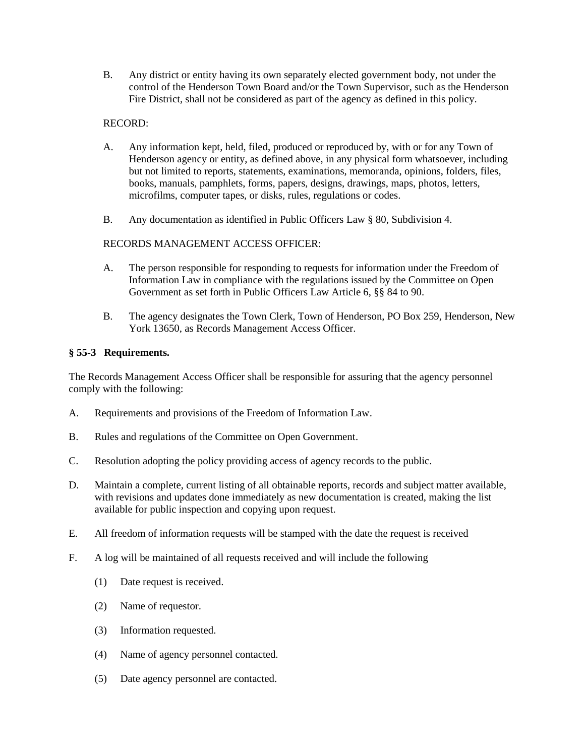B. Any district or entity having its own separately elected government body, not under the control of the Henderson Town Board and/or the Town Supervisor, such as the Henderson Fire District, shall not be considered as part of the agency as defined in this policy.

## RECORD:

- A. Any information kept, held, filed, produced or reproduced by, with or for any Town of Henderson agency or entity, as defined above, in any physical form whatsoever, including but not limited to reports, statements, examinations, memoranda, opinions, folders, files, books, manuals, pamphlets, forms, papers, designs, drawings, maps, photos, letters, microfilms, computer tapes, or disks, rules, regulations or codes.
- B. Any documentation as identified in Public Officers Law § 80, Subdivision 4.

## RECORDS MANAGEMENT ACCESS OFFICER:

- A. The person responsible for responding to requests for information under the Freedom of Information Law in compliance with the regulations issued by the Committee on Open Government as set forth in Public Officers Law Article 6, §§ 84 to 90.
- B. The agency designates the Town Clerk, Town of Henderson, PO Box 259, Henderson, New York 13650, as Records Management Access Officer.

## **§ 55-3 Requirements.**

The Records Management Access Officer shall be responsible for assuring that the agency personnel comply with the following:

- A. Requirements and provisions of the Freedom of Information Law.
- B. Rules and regulations of the Committee on Open Government.
- C. Resolution adopting the policy providing access of agency records to the public.
- D. Maintain a complete, current listing of all obtainable reports, records and subject matter available, with revisions and updates done immediately as new documentation is created, making the list available for public inspection and copying upon request.
- E. All freedom of information requests will be stamped with the date the request is received
- F. A log will be maintained of all requests received and will include the following
	- (1) Date request is received.
	- (2) Name of requestor.
	- (3) Information requested.
	- (4) Name of agency personnel contacted.
	- (5) Date agency personnel are contacted.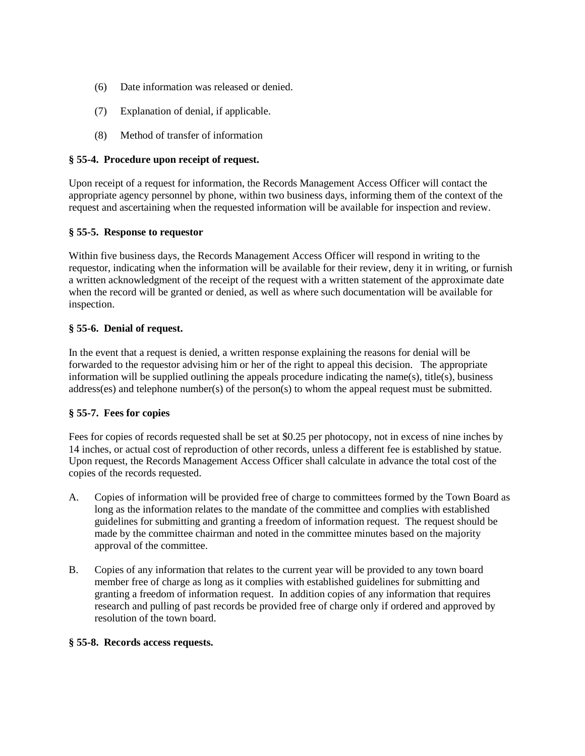- (6) Date information was released or denied.
- (7) Explanation of denial, if applicable.
- (8) Method of transfer of information

# **§ 55-4. Procedure upon receipt of request.**

Upon receipt of a request for information, the Records Management Access Officer will contact the appropriate agency personnel by phone, within two business days, informing them of the context of the request and ascertaining when the requested information will be available for inspection and review.

# **§ 55-5. Response to requestor**

Within five business days, the Records Management Access Officer will respond in writing to the requestor, indicating when the information will be available for their review, deny it in writing, or furnish a written acknowledgment of the receipt of the request with a written statement of the approximate date when the record will be granted or denied, as well as where such documentation will be available for inspection.

# **§ 55-6. Denial of request.**

In the event that a request is denied, a written response explaining the reasons for denial will be forwarded to the requestor advising him or her of the right to appeal this decision. The appropriate information will be supplied outlining the appeals procedure indicating the name(s), title(s), business address(es) and telephone number(s) of the person(s) to whom the appeal request must be submitted.

# **§ 55-7. Fees for copies**

Fees for copies of records requested shall be set at \$0.25 per photocopy, not in excess of nine inches by 14 inches, or actual cost of reproduction of other records, unless a different fee is established by statue. Upon request, the Records Management Access Officer shall calculate in advance the total cost of the copies of the records requested.

- A. Copies of information will be provided free of charge to committees formed by the Town Board as long as the information relates to the mandate of the committee and complies with established guidelines for submitting and granting a freedom of information request. The request should be made by the committee chairman and noted in the committee minutes based on the majority approval of the committee.
- B. Copies of any information that relates to the current year will be provided to any town board member free of charge as long as it complies with established guidelines for submitting and granting a freedom of information request. In addition copies of any information that requires research and pulling of past records be provided free of charge only if ordered and approved by resolution of the town board.

## **§ 55-8. Records access requests.**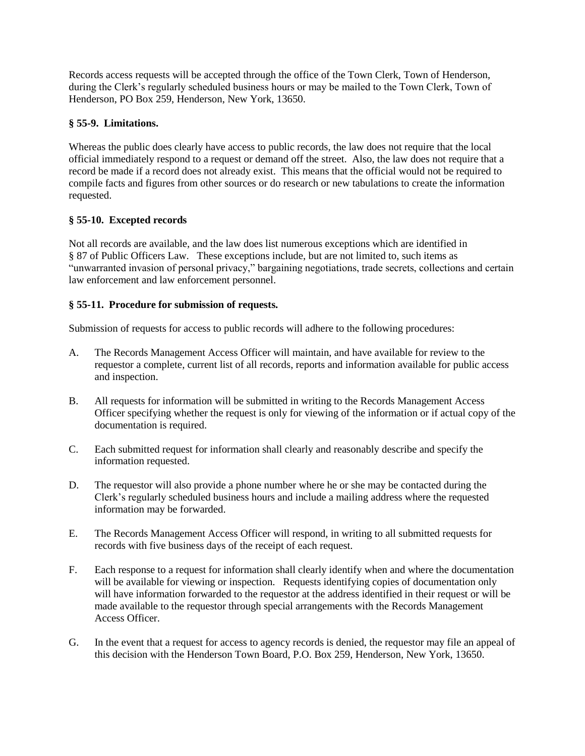Records access requests will be accepted through the office of the Town Clerk, Town of Henderson, during the Clerk's regularly scheduled business hours or may be mailed to the Town Clerk, Town of Henderson, PO Box 259, Henderson, New York, 13650.

## **§ 55-9. Limitations.**

Whereas the public does clearly have access to public records, the law does not require that the local official immediately respond to a request or demand off the street. Also, the law does not require that a record be made if a record does not already exist. This means that the official would not be required to compile facts and figures from other sources or do research or new tabulations to create the information requested.

## **§ 55-10. Excepted records**

Not all records are available, and the law does list numerous exceptions which are identified in § 87 of Public Officers Law. These exceptions include, but are not limited to, such items as "unwarranted invasion of personal privacy," bargaining negotiations, trade secrets, collections and certain law enforcement and law enforcement personnel.

## **§ 55-11. Procedure for submission of requests.**

Submission of requests for access to public records will adhere to the following procedures:

- A. The Records Management Access Officer will maintain, and have available for review to the requestor a complete, current list of all records, reports and information available for public access and inspection.
- B. All requests for information will be submitted in writing to the Records Management Access Officer specifying whether the request is only for viewing of the information or if actual copy of the documentation is required.
- C. Each submitted request for information shall clearly and reasonably describe and specify the information requested.
- D. The requestor will also provide a phone number where he or she may be contacted during the Clerk's regularly scheduled business hours and include a mailing address where the requested information may be forwarded.
- E. The Records Management Access Officer will respond, in writing to all submitted requests for records with five business days of the receipt of each request.
- F. Each response to a request for information shall clearly identify when and where the documentation will be available for viewing or inspection. Requests identifying copies of documentation only will have information forwarded to the requestor at the address identified in their request or will be made available to the requestor through special arrangements with the Records Management Access Officer.
- G. In the event that a request for access to agency records is denied, the requestor may file an appeal of this decision with the Henderson Town Board, P.O. Box 259, Henderson, New York, 13650.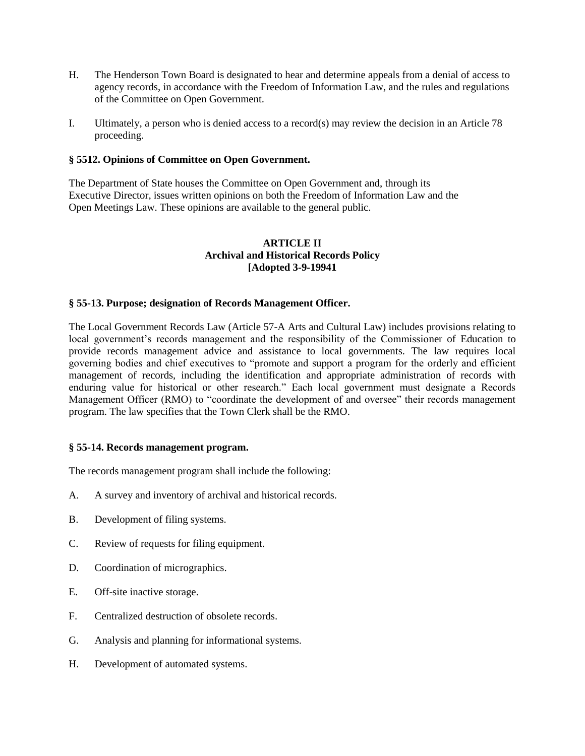- H. The Henderson Town Board is designated to hear and determine appeals from a denial of access to agency records, in accordance with the Freedom of Information Law, and the rules and regulations of the Committee on Open Government.
- I. Ultimately, a person who is denied access to a record(s) may review the decision in an Article 78 proceeding.

### **§ 5512. Opinions of Committee on Open Government.**

The Department of State houses the Committee on Open Government and, through its Executive Director, issues written opinions on both the Freedom of Information Law and the Open Meetings Law. These opinions are available to the general public.

### **ARTICLE II Archival and Historical Records Policy [Adopted 3-9-19941**

### **§ 55-13. Purpose; designation of Records Management Officer.**

The Local Government Records Law (Article 57-A Arts and Cultural Law) includes provisions relating to local government's records management and the responsibility of the Commissioner of Education to provide records management advice and assistance to local governments. The law requires local governing bodies and chief executives to "promote and support a program for the orderly and efficient management of records, including the identification and appropriate administration of records with enduring value for historical or other research." Each local government must designate a Records Management Officer (RMO) to "coordinate the development of and oversee" their records management program. The law specifies that the Town Clerk shall be the RMO.

#### **§ 55-14. Records management program.**

The records management program shall include the following:

- A. A survey and inventory of archival and historical records.
- B. Development of filing systems.
- C. Review of requests for filing equipment.
- D. Coordination of micrographics.
- E. Off-site inactive storage.
- F. Centralized destruction of obsolete records.
- G. Analysis and planning for informational systems.
- H. Development of automated systems.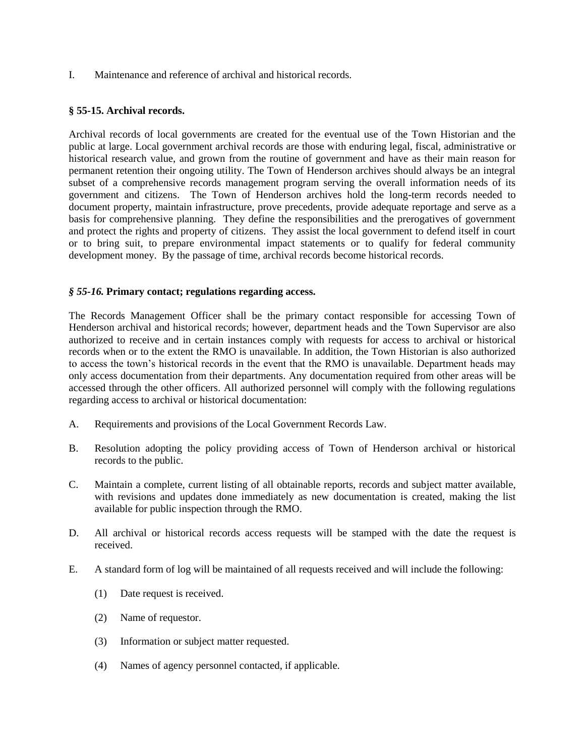I. Maintenance and reference of archival and historical records.

### **§ 55-15. Archival records.**

Archival records of local governments are created for the eventual use of the Town Historian and the public at large. Local government archival records are those with enduring legal, fiscal, administrative or historical research value, and grown from the routine of government and have as their main reason for permanent retention their ongoing utility. The Town of Henderson archives should always be an integral subset of a comprehensive records management program serving the overall information needs of its government and citizens. The Town of Henderson archives hold the long-term records needed to document property, maintain infrastructure, prove precedents, provide adequate reportage and serve as a basis for comprehensive planning. They define the responsibilities and the prerogatives of government and protect the rights and property of citizens. They assist the local government to defend itself in court or to bring suit, to prepare environmental impact statements or to qualify for federal community development money. By the passage of time, archival records become historical records.

### *§ 55-16.* **Primary contact; regulations regarding access.**

The Records Management Officer shall be the primary contact responsible for accessing Town of Henderson archival and historical records; however, department heads and the Town Supervisor are also authorized to receive and in certain instances comply with requests for access to archival or historical records when or to the extent the RMO is unavailable. In addition, the Town Historian is also authorized to access the town's historical records in the event that the RMO is unavailable. Department heads may only access documentation from their departments. Any documentation required from other areas will be accessed through the other officers. All authorized personnel will comply with the following regulations regarding access to archival or historical documentation:

- A. Requirements and provisions of the Local Government Records Law.
- B. Resolution adopting the policy providing access of Town of Henderson archival or historical records to the public.
- C. Maintain a complete, current listing of all obtainable reports, records and subject matter available, with revisions and updates done immediately as new documentation is created, making the list available for public inspection through the RMO.
- D. All archival or historical records access requests will be stamped with the date the request is received.
- E. A standard form of log will be maintained of all requests received and will include the following:
	- (1) Date request is received.
	- (2) Name of requestor.
	- (3) Information or subject matter requested.
	- (4) Names of agency personnel contacted, if applicable.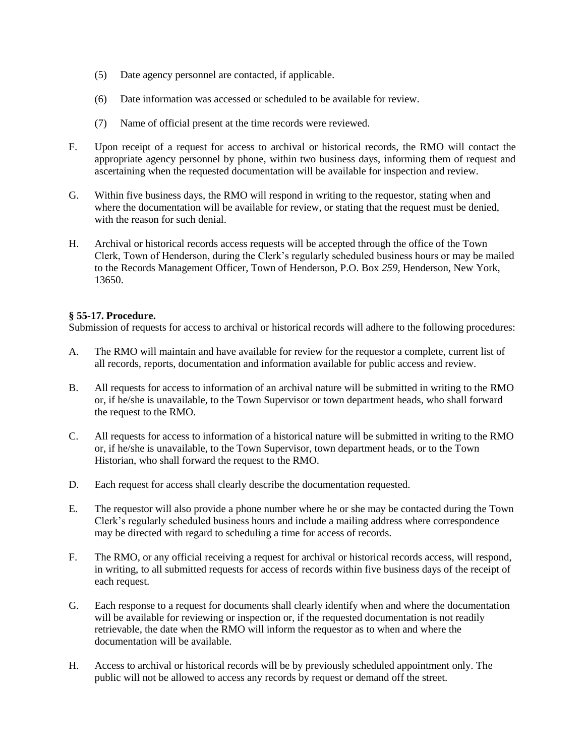- (5) Date agency personnel are contacted, if applicable.
- (6) Date information was accessed or scheduled to be available for review.
- (7) Name of official present at the time records were reviewed.
- F. Upon receipt of a request for access to archival or historical records, the RMO will contact the appropriate agency personnel by phone, within two business days, informing them of request and ascertaining when the requested documentation will be available for inspection and review.
- G. Within five business days, the RMO will respond in writing to the requestor, stating when and where the documentation will be available for review, or stating that the request must be denied, with the reason for such denial.
- H. Archival or historical records access requests will be accepted through the office of the Town Clerk, Town of Henderson, during the Clerk's regularly scheduled business hours or may be mailed to the Records Management Officer, Town of Henderson, P.O. Box *259,* Henderson, New York, 13650.

## **§ 55-17. Procedure.**

Submission of requests for access to archival or historical records will adhere to the following procedures:

- A. The RMO will maintain and have available for review for the requestor a complete, current list of all records, reports, documentation and information available for public access and review.
- B. All requests for access to information of an archival nature will be submitted in writing to the RMO or, if he/she is unavailable, to the Town Supervisor or town department heads, who shall forward the request to the RMO.
- C. All requests for access to information of a historical nature will be submitted in writing to the RMO or, if he/she is unavailable, to the Town Supervisor, town department heads, or to the Town Historian, who shall forward the request to the RMO.
- D. Each request for access shall clearly describe the documentation requested.
- E. The requestor will also provide a phone number where he or she may be contacted during the Town Clerk's regularly scheduled business hours and include a mailing address where correspondence may be directed with regard to scheduling a time for access of records.
- F. The RMO, or any official receiving a request for archival or historical records access, will respond, in writing, to all submitted requests for access of records within five business days of the receipt of each request.
- G. Each response to a request for documents shall clearly identify when and where the documentation will be available for reviewing or inspection or, if the requested documentation is not readily retrievable, the date when the RMO will inform the requestor as to when and where the documentation will be available.
- H. Access to archival or historical records will be by previously scheduled appointment only. The public will not be allowed to access any records by request or demand off the street.